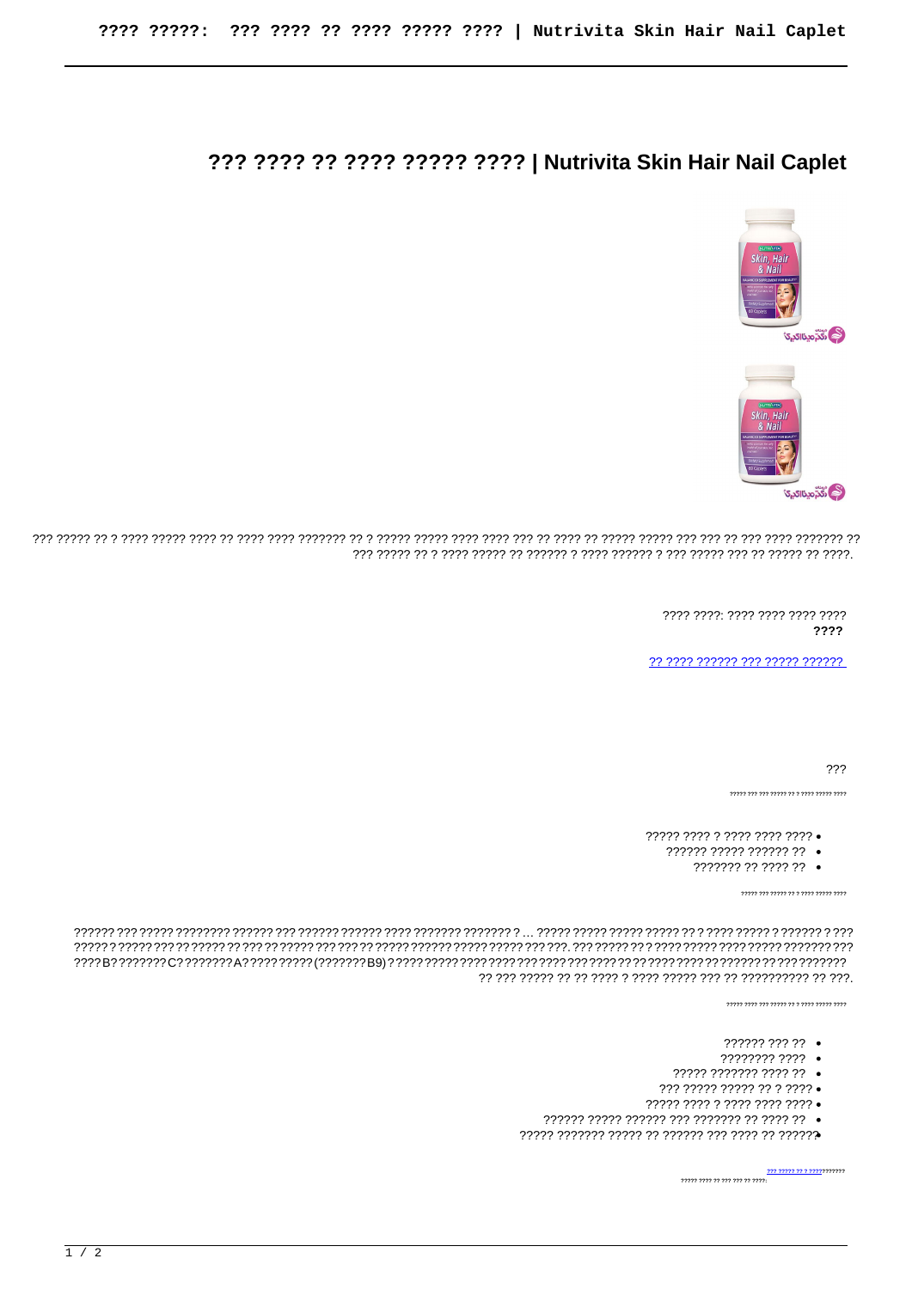## ??? ???? ?? ???? ????? ???? | Nutrivita Skin Hair Nail Caplet





וי הירודי הירוד רור רו היר רור הירוד רורור רו רורו רור רורו רורו רורור רורור רורורור רורו רורו רורו רורור רורו רורו רורו בין בין ר 

> 7777 7777 7777 7777 7777 7777 ????

77 7777 777777 777 77777 777777

???

- ????? ???? ? ???? ???? ????
	- ?????? ????? ?????? ??
		- ??????? ?? ???? ?? •

 $"$ 

.<br>כככב בככבב בככב כ כב בכבר בככב בכב בככב בככב

- ?????? ??? ?? •
- ???????? ???? •
- ????? ??????? ???? ?? •
- 
- ????? ???? ? ???? ???? ???? •
- 
- 

**222 22222 22 2 22222222222** ????? ???? ?? ??? ??? ?? ????